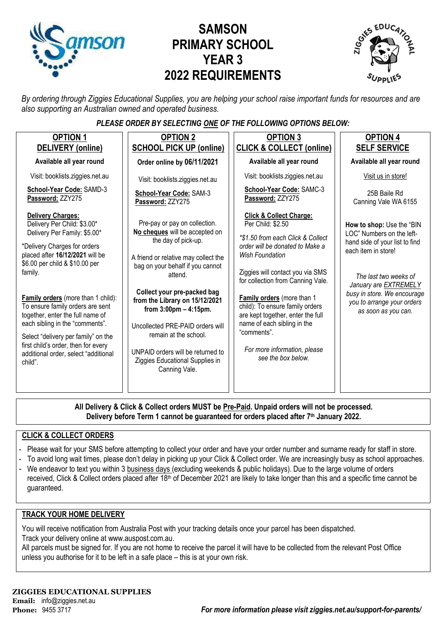

# **SAMSON PRIMARY SCHOOL YEAR 3 2022 REQUIREMENTS**



*By ordering through Ziggies Educational Supplies, you are helping your school raise important funds for resources and are also supporting an Australian owned and operated business.*

### *PLEASE ORDER BY SELECTING ONE OF THE FOLLOWING OPTIONS BELOW:*

| <b>OPTION 1</b><br>DELIVERY (online)                                                                                                                                                                                                                                                                                                                                                                                                                                                      | <b>OPTION 2</b><br><b>SCHOOL PICK UP (online)</b>                                                                                                                                                                                                                                                                                                                                                                                                | <b>OPTION 3</b><br><b>CLICK &amp; COLLECT (online)</b>                                                                                                                                                                                                                                                                                                                                                                                       | <b>OPTION 4</b><br><b>SELF SERVICE</b>                                                                                                                                                                                                                |
|-------------------------------------------------------------------------------------------------------------------------------------------------------------------------------------------------------------------------------------------------------------------------------------------------------------------------------------------------------------------------------------------------------------------------------------------------------------------------------------------|--------------------------------------------------------------------------------------------------------------------------------------------------------------------------------------------------------------------------------------------------------------------------------------------------------------------------------------------------------------------------------------------------------------------------------------------------|----------------------------------------------------------------------------------------------------------------------------------------------------------------------------------------------------------------------------------------------------------------------------------------------------------------------------------------------------------------------------------------------------------------------------------------------|-------------------------------------------------------------------------------------------------------------------------------------------------------------------------------------------------------------------------------------------------------|
| Available all year round                                                                                                                                                                                                                                                                                                                                                                                                                                                                  | Order online by 06/11/2021                                                                                                                                                                                                                                                                                                                                                                                                                       | Available all year round                                                                                                                                                                                                                                                                                                                                                                                                                     | Available all year round                                                                                                                                                                                                                              |
| Visit: booklists.ziggies.net.au                                                                                                                                                                                                                                                                                                                                                                                                                                                           | Visit: booklists.ziggies.net.au                                                                                                                                                                                                                                                                                                                                                                                                                  | Visit: booklists.ziggies.net.au                                                                                                                                                                                                                                                                                                                                                                                                              | Visit us in store!                                                                                                                                                                                                                                    |
| School-Year Code: SAMD-3<br>Password: ZZY275                                                                                                                                                                                                                                                                                                                                                                                                                                              | School-Year Code: SAM-3<br>Password: ZZY275                                                                                                                                                                                                                                                                                                                                                                                                      | School-Year Code: SAMC-3<br>Password: ZZY275                                                                                                                                                                                                                                                                                                                                                                                                 | 25B Baile Rd<br>Canning Vale WA 6155                                                                                                                                                                                                                  |
| <b>Delivery Charges:</b><br>Delivery Per Child: \$3.00*<br>Delivery Per Family: \$5.00*<br>*Delivery Charges for orders<br>placed after 16/12/2021 will be<br>\$6.00 per child & \$10.00 per<br>family.<br>Family orders (more than 1 child):<br>To ensure family orders are sent<br>together, enter the full name of<br>each sibling in the "comments".<br>Select "delivery per family" on the<br>first child's order, then for every<br>additional order, select "additional<br>child". | Pre-pay or pay on collection.<br>No cheques will be accepted on<br>the day of pick-up.<br>A friend or relative may collect the<br>bag on your behalf if you cannot<br>attend.<br>Collect your pre-packed bag<br>from the Library on 15/12/2021<br>from $3:00 \text{pm} - 4:15 \text{pm}$ .<br>Uncollected PRE-PAID orders will<br>remain at the school.<br>UNPAID orders will be returned to<br>Ziggies Educational Supplies in<br>Canning Vale. | <b>Click &amp; Collect Charge:</b><br>Per Child: \$2.50<br>*\$1.50 from each Click & Collect<br>order will be donated to Make a<br><b>Wish Foundation</b><br>Ziggies will contact you via SMS<br>for collection from Canning Vale.<br>Family orders (more than 1<br>child): To ensure family orders<br>are kept together, enter the full<br>name of each sibling in the<br>"comments".<br>For more information, please<br>see the box below. | How to shop: Use the "BIN<br>LOC" Numbers on the left-<br>hand side of your list to find<br>each item in store!<br>The last two weeks of<br>January are EXTREMELY<br>busy in store. We encourage<br>you to arrange your orders<br>as soon as you can. |
|                                                                                                                                                                                                                                                                                                                                                                                                                                                                                           |                                                                                                                                                                                                                                                                                                                                                                                                                                                  |                                                                                                                                                                                                                                                                                                                                                                                                                                              |                                                                                                                                                                                                                                                       |

**All Delivery & Click & Collect orders MUST be Pre-Paid. Unpaid orders will not be processed. Delivery before Term 1 cannot be guaranteed for orders placed after 7th January 2022.**

### **CLICK & COLLECT ORDERS**

- Please wait for your SMS before attempting to collect your order and have your order number and surname ready for staff in store.
- To avoid long wait times, please don't delay in picking up your Click & Collect order. We are increasingly busy as school approaches.
- We endeavor to text you within 3 business days (excluding weekends & public holidays). Due to the large volume of orders received, Click & Collect orders placed after 18<sup>th</sup> of December 2021 are likely to take longer than this and a specific time cannot be guaranteed.

#### **TRACK YOUR HOME DELIVERY**

You will receive notification from Australia Post with your tracking details once your parcel has been dispatched. Track your delivery online a[t www.auspost.com.au.](http://www.auspost.com.au/)

All parcels must be signed for. If you are not home to receive the parcel it will have to be collected from the relevant Post Office unless you authorise for it to be left in a safe place – this is at your own risk.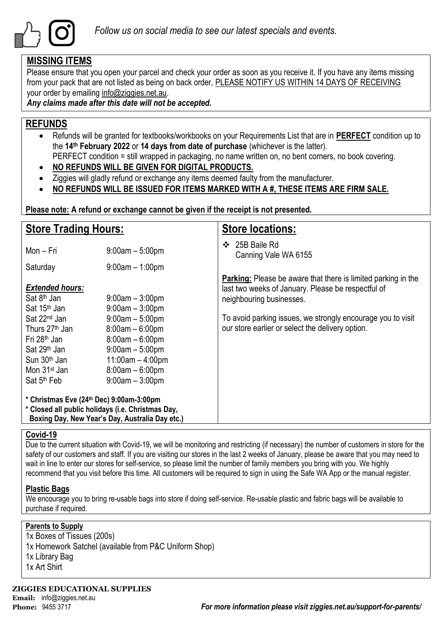

### **MISSING ITEMS**

Please ensure that you open your parcel and check your order as soon as you receive it. If you have any items missing from your pack that are not listed as being on back order, PLEASE NOTIFY US WITHIN 14 DAYS OF RECEIVING your order by emailing info@ziggies.net.au.

*Any claims made after this date will not be accepted.*

### **REFUNDS**

- Refunds will be granted for textbooks/workbooks on your Requirements List that are in **PERFECT** condition up to the **14th February 2022** or **14 days from date of purchase** (whichever is the latter). PERFECT condition = still wrapped in packaging, no name written on, no bent corners, no book covering.
- **NO REFUNDS WILL BE GIVEN FOR DIGITAL PRODUCTS.**
- Ziggies will gladly refund or exchange any items deemed faulty from the manufacturer.
- **NO REFUNDS WILL BE ISSUED FOR ITEMS MARKED WITH A #, THESE ITEMS ARE FIRM SALE.**

**Please note: A refund or exchange cannot be given if the receipt is not presented.**

| <b>Store Trading Hours:</b>                                                                                                                                                                       |                                                                                                                                                  | <b>Store locations:</b>                                                                                                                                |  |  |
|---------------------------------------------------------------------------------------------------------------------------------------------------------------------------------------------------|--------------------------------------------------------------------------------------------------------------------------------------------------|--------------------------------------------------------------------------------------------------------------------------------------------------------|--|--|
| Mon - Fri                                                                                                                                                                                         | $9:00am - 5:00pm$                                                                                                                                | 25B Baile Rd<br>❖<br>Canning Vale WA 6155                                                                                                              |  |  |
| Saturday                                                                                                                                                                                          | $9:00am - 1:00pm$                                                                                                                                |                                                                                                                                                        |  |  |
| <b>Extended hours:</b><br>Sat 8 <sup>th</sup> Jan<br>Sat 15 <sup>th</sup> Jan                                                                                                                     | $9:00$ am $-3:00$ pm<br>$9:00am - 3:00pm$                                                                                                        | <b>Parking:</b> Please be aware that there is limited parking in the<br>last two weeks of January. Please be respectful of<br>neighbouring businesses. |  |  |
| Sat 22 <sup>nd</sup> Jan<br>Thurs 27 <sup>th</sup> Jan<br>Fri 28 <sup>th</sup> Jan<br>Sat 29 <sup>th</sup> Jan<br>Sun 30 <sup>th</sup> Jan<br>Mon 31 <sup>st</sup> Jan<br>Sat 5 <sup>th</sup> Feb | $9:00am - 5:00pm$<br>$8:00am - 6:00pm$<br>$8:00am - 6:00pm$<br>$9:00am - 5:00pm$<br>$11:00am - 4:00pm$<br>$8:00am - 6:00pm$<br>$9:00am - 3:00pm$ | To avoid parking issues, we strongly encourage you to visit<br>our store earlier or select the delivery option.                                        |  |  |
| * Christmas Eve (24th Dec) 9:00am-3:00pm<br>* Closed all public holidays (i.e. Christmas Day,<br>Boxing Day, New Year's Day, Australia Day etc.)                                                  |                                                                                                                                                  |                                                                                                                                                        |  |  |

### **Covid-19**

Due to the current situation with Covid-19, we will be monitoring and restricting (if necessary) the number of customers in store for the safety of our customers and staff. If you are visiting our stores in the last 2 weeks of January, please be aware that you may need to wait in line to enter our stores for self-service, so please limit the number of family members you bring with you. We highly recommend that you visit before this time. All customers will be required to sign in using the Safe WA App or the manual register.

### **Plastic Bags**

We encourage you to bring re-usable bags into store if doing self-service. Re-usable plastic and fabric bags will be available to purchase if required.

### **Parents to Supply**

1x Boxes of Tissues (200s) 1x Homework Satchel (available from P&C Uniform Shop) 1x Library Bag 1x Art Shirt

**ZIGGIES EDUCATIONAL SUPPLIES Email:** info@ziggies.net.au